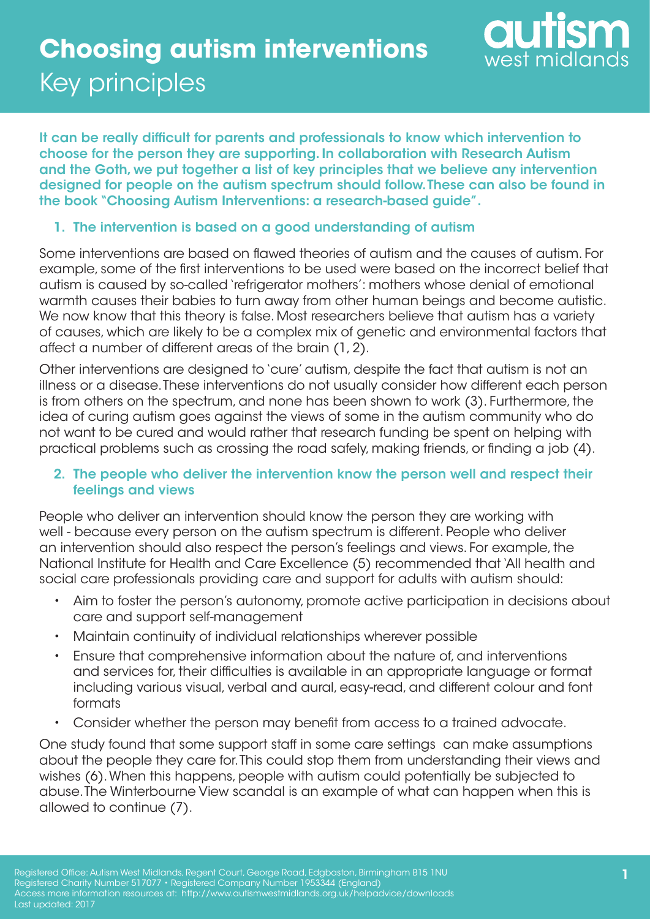

It can be really difficult for parents and professionals to know which intervention to choose for the person they are supporting. In collaboration with Research Autism and the Goth, we put together a list of key principles that we believe any intervention designed for people on the autism spectrum should follow. These can also be found in the book "Choosing Autism Interventions: a research-based guide".

### 1. The intervention is based on a good understanding of autism

Some interventions are based on flawed theories of autism and the causes of autism. For example, some of the first interventions to be used were based on the incorrect belief that autism is caused by so-called 'refrigerator mothers': mothers whose denial of emotional warmth causes their babies to turn away from other human beings and become autistic. We now know that this theory is false. Most researchers believe that autism has a variety of causes, which are likely to be a complex mix of genetic and environmental factors that affect a number of different areas of the brain (1, 2).

Other interventions are designed to 'cure' autism, despite the fact that autism is not an illness or a disease. These interventions do not usually consider how different each person is from others on the spectrum, and none has been shown to work (3). Furthermore, the idea of curing autism goes against the views of some in the autism community who do not want to be cured and would rather that research funding be spent on helping with practical problems such as crossing the road safely, making friends, or finding a job (4).

### 2. The people who deliver the intervention know the person well and respect their feelings and views

People who deliver an intervention should know the person they are working with well - because every person on the autism spectrum is different. People who deliver an intervention should also respect the person's feelings and views. For example, the National Institute for Health and Care Excellence (5) recommended that 'All health and social care professionals providing care and support for adults with autism should:

- Aim to foster the person's autonomy, promote active participation in decisions about care and support self-management
- Maintain continuity of individual relationships wherever possible
- Ensure that comprehensive information about the nature of, and interventions and services for, their difficulties is available in an appropriate language or format including various visual, verbal and aural, easy-read, and different colour and font formats
- Consider whether the person may benefit from access to a trained advocate.

One study found that some support staff in some care settings can make assumptions about the people they care for. This could stop them from understanding their views and wishes (6). When this happens, people with autism could potentially be subjected to abuse. The Winterbourne View scandal is an example of what can happen when this is allowed to continue (7).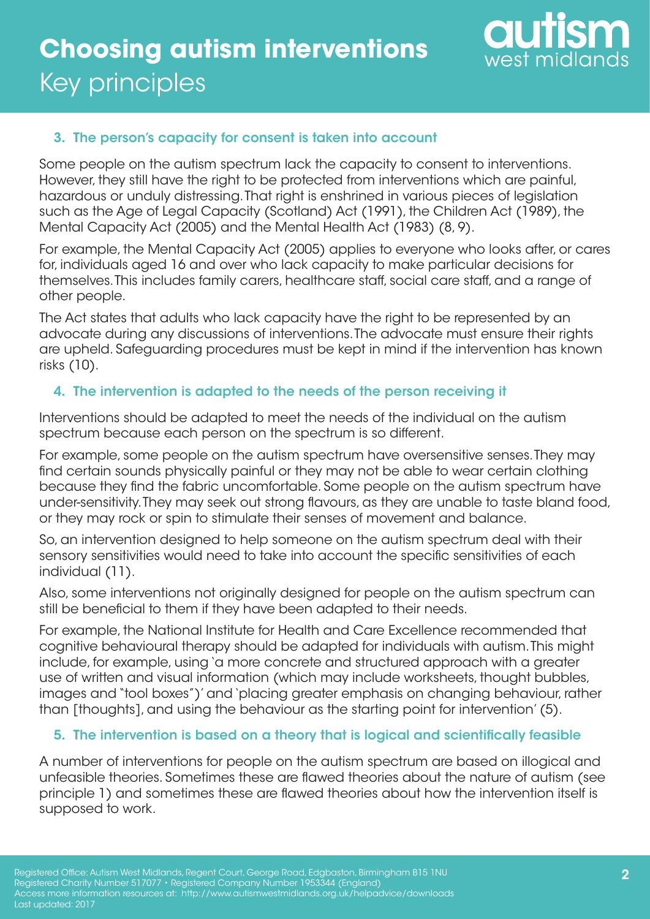

### 3. The person's capacity for consent is taken into account

Some people on the autism spectrum lack the capacity to consent to interventions. However, they still have the right to be protected from interventions which are painful, hazardous or unduly distressing. That right is enshrined in various pieces of legislation such as the Age of Legal Capacity (Scotland) Act (1991), the Children Act (1989), the Mental Capacity Act (2005) and the Mental Health Act (1983) (8, 9).

For example, the Mental Capacity Act (2005) applies to everyone who looks after, or cares for, individuals aged 16 and over who lack capacity to make particular decisions for themselves. This includes family carers, healthcare staff, social care staff, and a range of other people.

The Act states that adults who lack capacity have the right to be represented by an advocate during any discussions of interventions. The advocate must ensure their rights are upheld. Safeguarding procedures must be kept in mind if the intervention has known risks (10).

#### 4. The intervention is adapted to the needs of the person receiving it

Interventions should be adapted to meet the needs of the individual on the autism spectrum because each person on the spectrum is so different.

For example, some people on the autism spectrum have oversensitive senses. They may find certain sounds physically painful or they may not be able to wear certain clothing because they find the fabric uncomfortable. Some people on the autism spectrum have under-sensitivity. They may seek out strong flavours, as they are unable to taste bland food, or they may rock or spin to stimulate their senses of movement and balance.

So, an intervention designed to help someone on the autism spectrum deal with their sensory sensitivities would need to take into account the specific sensitivities of each individual (11).

Also, some interventions not originally designed for people on the autism spectrum can still be beneficial to them if they have been adapted to their needs.

For example, the National Institute for Health and Care Excellence recommended that cognitive behavioural therapy should be adapted for individuals with autism. This might include, for example, using 'a more concrete and structured approach with a greater use of written and visual information (which may include worksheets, thought bubbles, images and "tool boxes")' and 'placing greater emphasis on changing behaviour, rather than [thoughts], and using the behaviour as the starting point for intervention' (5).

### 5. The intervention is based on a theory that is logical and scientifically feasible

A number of interventions for people on the autism spectrum are based on illogical and unfeasible theories. Sometimes these are flawed theories about the nature of autism (see principle 1) and sometimes these are flawed theories about how the intervention itself is supposed to work.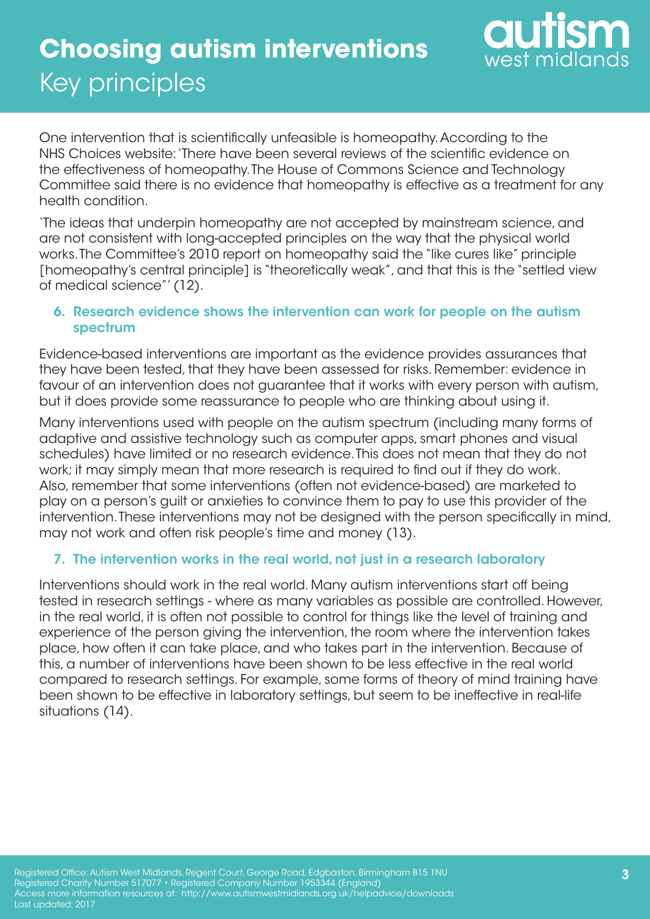

One intervention that is scientifically unfeasible is homeopathy. According to the NHS Choices website: 'There have been several reviews of the scientific evidence on the effectiveness of homeopathy. The House of Commons Science and Technology Committee said there is no evidence that homeopathy is effective as a treatment for any health condition.

'The ideas that underpin homeopathy are not accepted by mainstream science, and are not consistent with long-accepted principles on the way that the physical world works. The Committee's 2010 report on homeopathy said the "like cures like" principle [homeopathy's central principle] is "theoretically weak", and that this is the "settled view of medical science"' (12).

### 6. Research evidence shows the intervention can work for people on the autism spectrum

Evidence-based interventions are important as the evidence provides assurances that they have been tested, that they have been assessed for risks. Remember: evidence in favour of an intervention does not guarantee that it works with every person with autism, but it does provide some reassurance to people who are thinking about using it.

Many interventions used with people on the autism spectrum (including many forms of adaptive and assistive technology such as computer apps, smart phones and visual schedules) have limited or no research evidence. This does not mean that they do not work; it may simply mean that more research is required to find out if they do work. Also, remember that some interventions (often not evidence-based) are marketed to play on a person's guilt or anxieties to convince them to pay to use this provider of the intervention. These interventions may not be designed with the person specifically in mind, may not work and often risk people's time and money (13).

### 7. The intervention works in the real world, not just in a research laboratory

Interventions should work in the real world. Many autism interventions start off being tested in research settings - where as many variables as possible are controlled. However, in the real world, it is often not possible to control for things like the level of training and experience of the person giving the intervention, the room where the intervention takes place, how often it can take place, and who takes part in the intervention. Because of this, a number of interventions have been shown to be less effective in the real world compared to research settings. For example, some forms of theory of mind training have been shown to be effective in laboratory settings, but seem to be ineffective in real-life situations (14).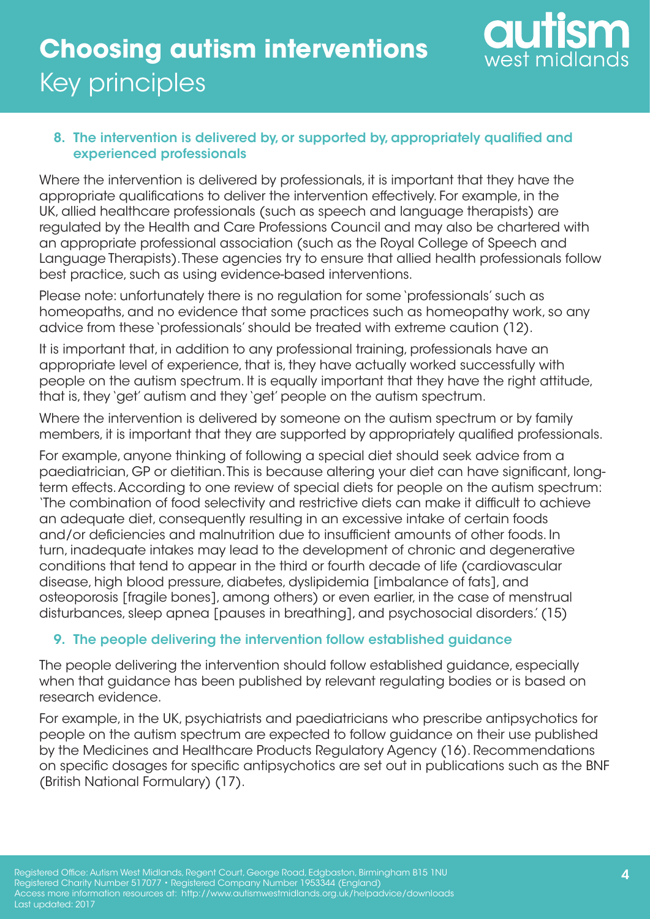

### 8. The intervention is delivered by, or supported by, appropriately qualified and experienced professionals

Where the intervention is delivered by professionals, it is important that they have the appropriate qualifications to deliver the intervention effectively. For example, in the UK, allied healthcare professionals (such as speech and language therapists) are regulated by the Health and Care Professions Council and may also be chartered with an appropriate professional association (such as the Royal College of Speech and Language Therapists). These agencies try to ensure that allied health professionals follow best practice, such as using evidence-based interventions.

Please note: unfortunately there is no regulation for some 'professionals' such as homeopaths, and no evidence that some practices such as homeopathy work, so any advice from these 'professionals' should be treated with extreme caution (12).

It is important that, in addition to any professional training, professionals have an appropriate level of experience, that is, they have actually worked successfully with people on the autism spectrum. It is equally important that they have the right attitude, that is, they 'get' autism and they 'get' people on the autism spectrum.

Where the intervention is delivered by someone on the autism spectrum or by family members, it is important that they are supported by appropriately qualified professionals.

For example, anyone thinking of following a special diet should seek advice from a paediatrician, GP or dietitian. This is because altering your diet can have significant, longterm effects. According to one review of special diets for people on the autism spectrum: 'The combination of food selectivity and restrictive diets can make it difficult to achieve an adequate diet, consequently resulting in an excessive intake of certain foods and/or deficiencies and malnutrition due to insufficient amounts of other foods. In turn, inadequate intakes may lead to the development of chronic and degenerative conditions that tend to appear in the third or fourth decade of life (cardiovascular disease, high blood pressure, diabetes, dyslipidemia [imbalance of fats], and osteoporosis [fragile bones], among others) or even earlier, in the case of menstrual disturbances, sleep apnea [pauses in breathing], and psychosocial disorders.' (15)

### 9. The people delivering the intervention follow established guidance

The people delivering the intervention should follow established guidance, especially when that guidance has been published by relevant regulating bodies or is based on research evidence.

For example, in the UK, psychiatrists and paediatricians who prescribe antipsychotics for people on the autism spectrum are expected to follow guidance on their use published by the Medicines and Healthcare Products Regulatory Agency (16). Recommendations on specific dosages for specific antipsychotics are set out in publications such as the BNF (British National Formulary) (17).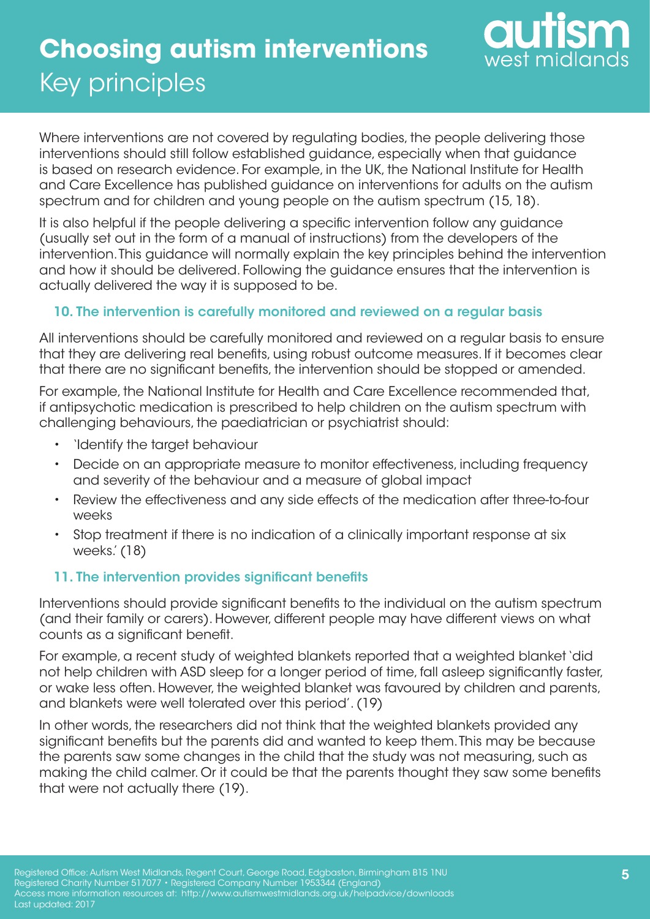

Where interventions are not covered by regulating bodies, the people delivering those interventions should still follow established guidance, especially when that guidance is based on research evidence. For example, in the UK, the National Institute for Health and Care Excellence has published guidance on interventions for adults on the autism spectrum and for children and young people on the autism spectrum (15, 18).

It is also helpful if the people delivering a specific intervention follow any guidance (usually set out in the form of a manual of instructions) from the developers of the intervention. This guidance will normally explain the key principles behind the intervention and how it should be delivered. Following the guidance ensures that the intervention is actually delivered the way it is supposed to be.

### 10. The intervention is carefully monitored and reviewed on a regular basis

All interventions should be carefully monitored and reviewed on a regular basis to ensure that they are delivering real benefits, using robust outcome measures. If it becomes clear that there are no significant benefits, the intervention should be stopped or amended.

For example, the National Institute for Health and Care Excellence recommended that, if antipsychotic medication is prescribed to help children on the autism spectrum with challenging behaviours, the paediatrician or psychiatrist should:

- 'Identify the target behaviour
- Decide on an appropriate measure to monitor effectiveness, including frequency and severity of the behaviour and a measure of global impact
- Review the effectiveness and any side effects of the medication after three-to-four weeks
- Stop treatment if there is no indication of a clinically important response at six weeks.' (18)

### 11. The intervention provides significant benefits

Interventions should provide significant benefits to the individual on the autism spectrum (and their family or carers). However, different people may have different views on what counts as a significant benefit.

For example, a recent study of weighted blankets reported that a weighted blanket 'did not help children with ASD sleep for a longer period of time, fall asleep significantly faster, or wake less often. However, the weighted blanket was favoured by children and parents, and blankets were well tolerated over this period'. (19)

In other words, the researchers did not think that the weighted blankets provided any significant benefits but the parents did and wanted to keep them. This may be because the parents saw some changes in the child that the study was not measuring, such as making the child calmer. Or it could be that the parents thought they saw some benefits that were not actually there (19).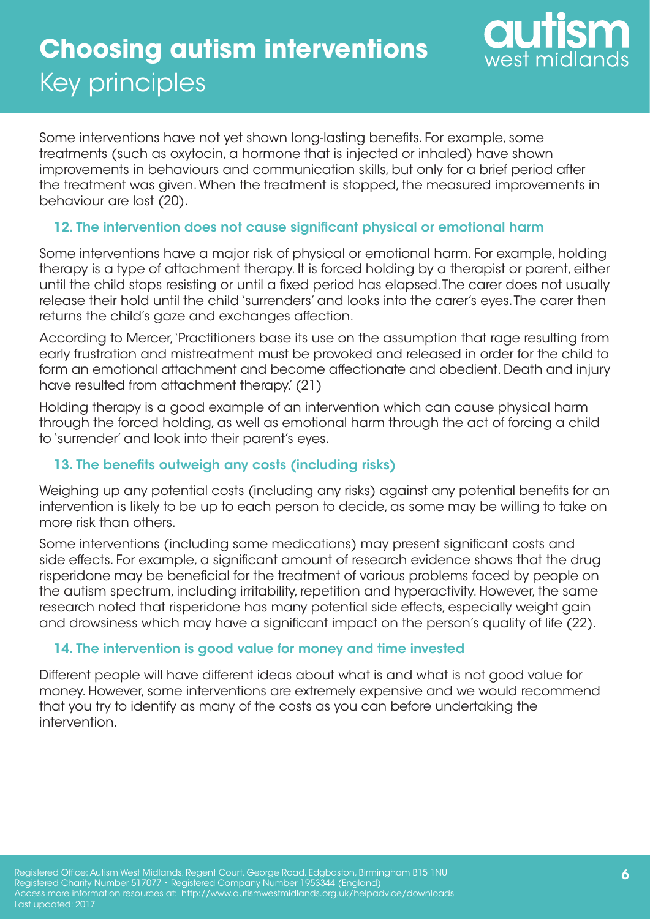

Some interventions have not yet shown long-lasting benefits. For example, some treatments (such as oxytocin, a hormone that is injected or inhaled) have shown improvements in behaviours and communication skills, but only for a brief period after the treatment was given. When the treatment is stopped, the measured improvements in behaviour are lost (20).

### 12. The intervention does not cause significant physical or emotional harm

Some interventions have a major risk of physical or emotional harm. For example, holding therapy is a type of attachment therapy. It is forced holding by a therapist or parent, either until the child stops resisting or until a fixed period has elapsed. The carer does not usually release their hold until the child 'surrenders' and looks into the carer's eyes. The carer then returns the child's gaze and exchanges affection.

According to Mercer, 'Practitioners base its use on the assumption that rage resulting from early frustration and mistreatment must be provoked and released in order for the child to form an emotional attachment and become affectionate and obedient. Death and injury have resulted from attachment therapy.' (21)

Holding therapy is a good example of an intervention which can cause physical harm through the forced holding, as well as emotional harm through the act of forcing a child to 'surrender' and look into their parent's eyes.

### 13. The benefits outweigh any costs (including risks)

Weighing up any potential costs (including any risks) against any potential benefits for an intervention is likely to be up to each person to decide, as some may be willing to take on more risk than others.

Some interventions (including some medications) may present significant costs and side effects. For example, a significant amount of research evidence shows that the drug risperidone may be beneficial for the treatment of various problems faced by people on the autism spectrum, including irritability, repetition and hyperactivity. However, the same research noted that risperidone has many potential side effects, especially weight gain and drowsiness which may have a significant impact on the person's quality of life (22).

### 14. The intervention is good value for money and time invested

Different people will have different ideas about what is and what is not good value for money. However, some interventions are extremely expensive and we would recommend that you try to identify as many of the costs as you can before undertaking the intervention.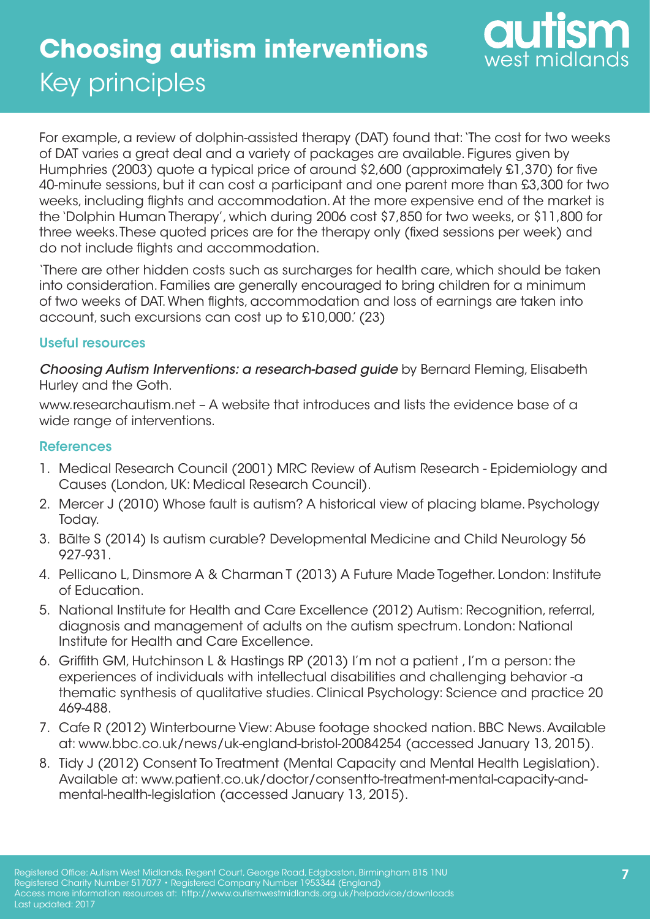

For example, a review of dolphin-assisted therapy (DAT) found that: 'The cost for two weeks of DAT varies a great deal and a variety of packages are available. Figures given by Humphries (2003) quote a typical price of around \$2,600 (approximately £1,370) for five 40-minute sessions, but it can cost a participant and one parent more than £3,300 for two weeks, including flights and accommodation. At the more expensive end of the market is the 'Dolphin Human Therapy', which during 2006 cost \$7,850 for two weeks, or \$11,800 for three weeks. These quoted prices are for the therapy only (fixed sessions per week) and do not include flights and accommodation.

'There are other hidden costs such as surcharges for health care, which should be taken into consideration. Families are generally encouraged to bring children for a minimum of two weeks of DAT. When flights, accommodation and loss of earnings are taken into account, such excursions can cost up to £10,000.' (23)

#### Useful resources

*Choosing Autism Interventions: a research-based guide* by Bernard Fleming, Elisabeth Hurley and the Goth.

www.researchautism.net – A website that introduces and lists the evidence base of a wide range of interventions.

#### **References**

- 1. Medical Research Council (2001) MRC Review of Autism Research Epidemiology and Causes (London, UK: Medical Research Council).
- 2. Mercer J (2010) Whose fault is autism? A historical view of placing blame. Psychology Today.
- 3. Bãlte S (2014) Is autism curable? Developmental Medicine and Child Neurology 56 927-931.
- 4. Pellicano L, Dinsmore A & Charman T (2013) A Future Made Together. London: Institute of Education.
- 5. National Institute for Health and Care Excellence (2012) Autism: Recognition, referral, diagnosis and management of adults on the autism spectrum. London: National Institute for Health and Care Excellence.
- 6. Griffith GM, Hutchinson L & Hastings RP (2013) I'm not a patient , I'm a person: the experiences of individuals with intellectual disabilities and challenging behavior -a thematic synthesis of qualitative studies. Clinical Psychology: Science and practice 20 469-488.
- 7. Cafe R (2012) Winterbourne View: Abuse footage shocked nation. BBC News. Available at: www.bbc.co.uk/news/uk-england-bristol-20084254 (accessed January 13, 2015).
- 8. Tidy J (2012) Consent To Treatment (Mental Capacity and Mental Health Legislation). Available at: www.patient.co.uk/doctor/consentto-treatment-mental-capacity-andmental-health-legislation (accessed January 13, 2015).